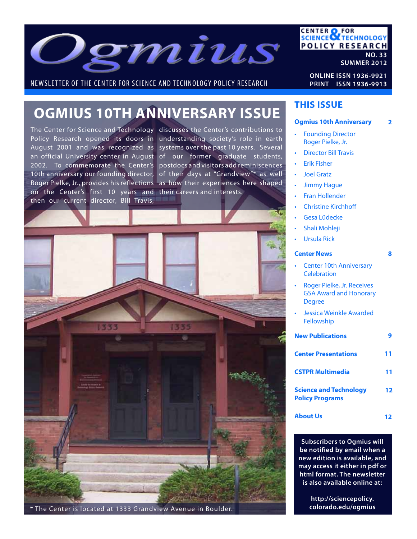

NEWSLETTER OF THE CENTER FOR SCIENCE AND TECHNOLOGY POLICY RESEARCH

**ONLINE ISSN 1936-9921 PRINT ISSN 1936-9913**

**CENTER OF FOR<br>SCIENCE OF TECHNOLOGY** 

**POLICY RESEARCH** 

**NO. 33**

**SUMMER 2012**

# **OGMIUS 10TH ANNIVERSARY ISSUE**

on the Center's first 10 years and their careers and interests. then our current director, Bill Travis,

The Center for Science and Technology  $\,$  discusses the Center's contributions to Policy Research opened its doors in understanding society's role in earth August 2001 and was recognized as systems over the past 10 years. Several an official University center in August of our former graduate students, 2002. To commemorate the Center's postdocs and visitors add reminiscences 10th anniversary our founding director, of their days at "Grandview"\* as well Roger Pielke, Jr., provides his reflections as how their experiences here shaped



\* The Center is located at 1333 Grandview Avenue in Boulder.

## **THIS ISSUE**

#### **Ogmius 10th Anniversary 2**

- **Founding Director** Roger Pielke, Jr.
- **Director Bill Travis**
- **Frik Fisher**
- **Joel Gratz**
- **Jimmy Hague**
- **Fran Hollender**
- **Christine Kirchhoff**
- Gesa Lüdecke
- Shali Mohleji
- **Ursula Rick**

#### **Center News**

**8**

### **Center 10th Anniversary Celebration**

- Roger Pielke, Jr. Receives GSA Award and Honorary Degree
- **Jessica Weinkle Awarded** Fellowship

| <b>New Publications</b>                                 |    |
|---------------------------------------------------------|----|
| <b>Center Presentations</b>                             |    |
| <b>CSTPR Multimedia</b>                                 |    |
| <b>Science and Technology</b><br><b>Policy Programs</b> | 12 |
| <b>About Us</b>                                         |    |

**Subscribers to Ogmius will be notified by email when a new edition is available, and may access it either in pdf or html format. The newsletter is also available online at:**

> **http://sciencepolicy. colorado.edu/ogmius**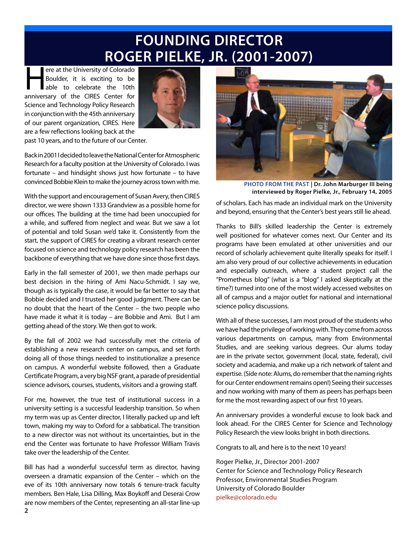## **FOUNDING DIRECTOR ROGER PIELKE, JR. (2001-2007)**

ere at the University of Colorado<br>Boulder, it is exciting to be<br>able to celebrate the 10th<br>anniversary of the CIPES Conter for Boulder, it is exciting to be able to celebrate the 10th anniversary of the CIRES Center for Science and Technology Policy Research in conjunction with the 45th anniversary of our parent organization, CIRES. Here are a few reflections looking back at the



past 10 years, and to the future of our Center.

Backin2001IdecidedtoleavetheNationalCenterforAtmospheric Research for a faculty position at the University of Colorado. I was fortunate – and hindsight shows just how fortunate – to have convinced Bobbie Klein to make the journey across town with me.

With the support and encouragement of Susan Avery, then CIRES director, we were shown 1333 Grandview as a possible home for our offices. The building at the time had been unoccupied for a while, and suffered from neglect and wear. But we saw a lot of potential and told Susan we'd take it. Consistently from the start, the support of CIRES for creating a vibrant research center focused on science and technology policy research has been the backbone of everything that we have done since those first days.

Early in the fall semester of 2001, we then made perhaps our best decision in the hiring of Ami Nacu-Schmidt. I say we, though as is typically the case, it would be far better to say that Bobbie decided and I trusted her good judgment. There can be no doubt that the heart of the Center – the two people who have made it what it is today – are Bobbie and Ami. But I am getting ahead of the story. We then got to work.

By the fall of 2002 we had successfully met the criteria of establishing a new research center on campus, and set forth doing all of those things needed to institutionalize a presence on campus. A wonderful website followed, then a Graduate Certificate Program, a very big NSF grant, a parade of presidential science advisors, courses, students, visitors and a growing staff.

For me, however, the true test of institutional success in a university setting is a successful leadership transition. So when my term was up as Center director, I literally packed up and left town, making my way to Oxford for a sabbatical. The transition to a new director was not without its uncertainties, but in the end the Center was fortunate to have Professor William Travis take over the leadership of the Center.

Bill has had a wonderful successful term as director, having overseen a dramatic expansion of the Center – which on the eve of its 10th anniversary now totals 6 tenure-track faculty members. Ben Hale, Lisa Dilling, Max Boykoff and Deserai Crow are now members of the Center, representing an all-star line-up



**PHOTO FROM THE PAST | Dr. John Marburger III being interviewed by Roger Pielke, Jr., February 14, 2005**

of scholars. Each has made an individual mark on the University and beyond, ensuring that the Center's best years still lie ahead.

Thanks to Bill's skilled leadership the Center is extremely well positioned for whatever comes next. Our Center and its programs have been emulated at other universities and our record of scholarly achievement quite literally speaks for itself. I am also very proud of our collective achievements in education and especially outreach, where a student project call the "Prometheus blog" (what is a "blog" I asked skeptically at the time?) turned into one of the most widely accessed websites on all of campus and a major outlet for national and international science policy discussions.

With all of these successes, I am most proud of the students who we have had the privilege of working with. They come from across various departments on campus, many from Environmental Studies, and are seeking various degrees. Our alums today are in the private sector, government (local, state, federal), civil society and academia, and make up a rich network of talent and expertise. (Side note: Alums, do remember that the naming rights for our Center endowment remains open!) Seeing their successes and now working with many of them as peers has perhaps been for me the most rewarding aspect of our first 10 years.

An anniversary provides a wonderful excuse to look back and look ahead. For the CIRES Center for Science and Technology Policy Research the view looks bright in both directions.

Congrats to all, and here is to the next 10 years!

Roger Pielke, Jr., Director 2001-2007 Center for Science and Technology Policy Research Professor, Environmental Studies Program University of Colorado Boulder pielke@colorado.edu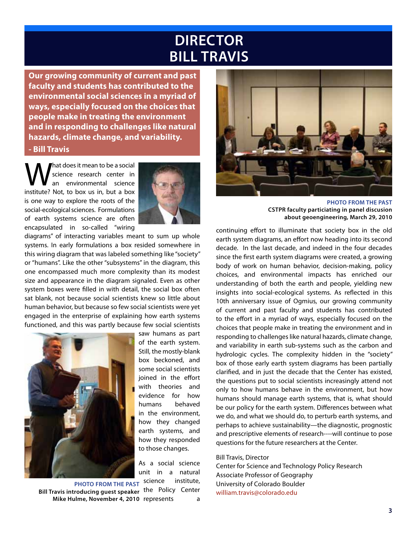## **DIRECTOR BILL TRAVIS**

**Our growing community of current and past faculty and students has contributed to the environmental social sciences in a myriad of ways, especially focused on the choices that people make in treating the environment and in responding to challenges like natural hazards, climate change, and variability.** 

**- Bill Travis**

What does it mean to be a social<br>science research center in<br>institute? Not to box us in but a box science research center in an environmental science institute? Not, to box us in, but a box is one way to explore the roots of the social-ecological sciences. Formulations of earth systems science are often encapsulated in so-called "wiring



diagrams" of interacting variables meant to sum up whole systems. In early formulations a box resided somewhere in this wiring diagram that was labeled something like "society" or "humans". Like the other "subsystems" in the diagram, this one encompassed much more complexity than its modest size and appearance in the diagram signaled. Even as other system boxes were filled in with detail, the social box often sat blank, not because social scientists knew so little about human behavior, but because so few social scientists were yet engaged in the enterprise of explaining how earth systems functioned, and this was partly because few social scientists



saw humans as part of the earth system. Still, the mostly-blank box beckoned, and some social scientists joined in the effort with theories and evidence for how humans behaved in the environment, how they changed earth systems, and how they responded to those changes.

As a social science unit in a natural institute,

Bill Travis introducing guest speaker <sup>the Policy Center</sup> **Mike Hulme, November 4, 2010** represents a **PHOTO FROM THE PAST SCIENCE** 



**PHOTO FROM THE PAST CSTPR faculty particiating in panel discusion about geoengineering, March 29, 2010**

continuing effort to illuminate that society box in the old earth system diagrams, an effort now heading into its second decade. In the last decade, and indeed in the four decades since the first earth system diagrams were created, a growing body of work on human behavior, decision-making, policy choices, and environmental impacts has enriched our understanding of both the earth and people, yielding new insights into social-ecological systems. As reflected in this 10th anniversary issue of Ogmius, our growing community of current and past faculty and students has contributed to the effort in a myriad of ways, especially focused on the choices that people make in treating the environment and in responding to challenges like natural hazards, climate change, and variability in earth sub-systems such as the carbon and hydrologic cycles. The complexity hidden in the "society" box of those early earth system diagrams has been partially clarified, and in just the decade that the Center has existed, the questions put to social scientists increasingly attend not only to how humans behave in the environment, but how humans should manage earth systems, that is, what should be our policy for the earth system. Differences between what we do, and what we should do, to perturb earth systems, and perhaps to achieve sustainability—the diagnostic, prognostic and prescriptive elements of research----will continue to pose questions for the future researchers at the Center.

Bill Travis, Director

Center for Science and Technology Policy Research Associate Professor of Geography University of Colorado Boulder william.travis@colorado.edu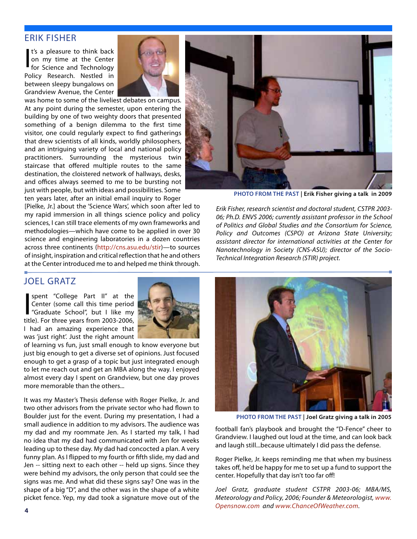### ERIK FISHER

I t's a pleasure to think back on my time at the Center for Science and Technology Policy Research. Nestled in between sleepy bungalows on Grandview Avenue, the Center



was home to some of the liveliest debates on campus. At any point during the semester, upon entering the building by one of two weighty doors that presented something of a benign dilemma to the first time visitor, one could regularly expect to find gatherings that drew scientists of all kinds, worldly philosophers, and an intriguing variety of local and national policy practitioners. Surrounding the mysterious twin staircase that offered multiple routes to the same destination, the cloistered network of hallways, desks, and offices always seemed to me to be bursting not just with people, but with ideas and possibilities. Some ten years later, after an initial email inquiry to Roger

[Pielke, Jr.] about the 'Science Wars', which soon after led to my rapid immersion in all things science policy and policy sciences, I can still trace elements of my own frameworks and methodologies—which have come to be applied in over 30 science and engineering laboratories in a dozen countries across three continents (http://cns.asu.edu/stir)—to sources of insight, inspiration and critical reflection that he and others at the Center introduced me to and helped me think through.



**PHOTO FROM THE PAST | Erik Fisher giving a talk in 2009**

*Erik Fisher, research scientist and doctoral student, CSTPR 2003- 06; Ph.D. ENVS 2006; currently assistant professor in the School of Politics and Global Studies and the Consortium for Science, Policy and Outcomes (CSPO) at Arizona State University; assistant director for international activities at the Center for Nanotechnology in Society (CNS-ASU); director of the Socio-Technical Integration Research (STIR) project.*

### JOEL GRATZ

spent "College Part II" at the<br>Center (some call this time period<br>"Graduate School", but I like my<br>title). For three years from 2003-2006, spent "College Part II" at the Center (some call this time period "Graduate School", but I like my I had an amazing experience that was 'just right'. Just the right amount



of learning vs fun, just small enough to know everyone but just big enough to get a diverse set of opinions. Just focused enough to get a grasp of a topic but just integrated enough to let me reach out and get an MBA along the way. I enjoyed almost every day I spent on Grandview, but one day proves more memorable than the others...

It was my Master's Thesis defense with Roger Pielke, Jr. and two other advisors from the private sector who had flown to Boulder just for the event. During my presentation, I had a small audience in addition to my advisors. The audience was my dad and my roommate Jen. As I started my talk, I had no idea that my dad had communicated with Jen for weeks leading up to these day. My dad had concocted a plan. A very funny plan. As I flipped to my fourth or fifth slide, my dad and Jen -- sitting next to each other -- held up signs. Since they were behind my advisors, the only person that could see the signs was me. And what did these signs say? One was in the shape of a big "D", and the other was in the shape of a white picket fence. Yep, my dad took a signature move out of the



**PHOTO FROM THE PAST | Joel Gratz giving a talk in 2005**

football fan's playbook and brought the "D-Fence" cheer to Grandview. I laughed out loud at the time, and can look back and laugh still...because ultimately I did pass the defense.

Roger Pielke, Jr. keeps reminding me that when my business takes off, he'd be happy for me to set up a fund to support the center. Hopefully that day isn't too far off!

*Joel Gratz, graduate student CSTPR 2003-06; MBA/MS, Meteorology and Policy, 2006; Founder & Meteorologist, www. Opensnow.com and www.ChanceOfWeather.com.*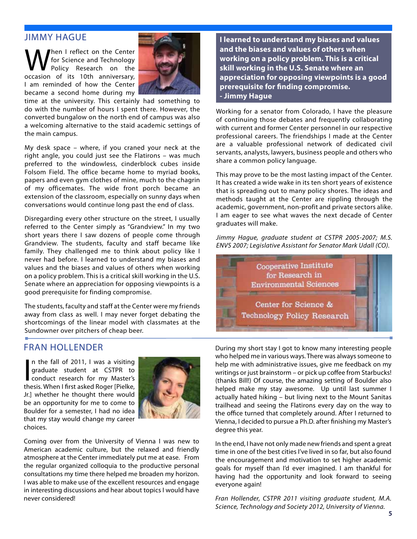### JIMMY HAGUE

When I reflect on the Center<br>Folicy Research on the<br>Accasion of its 10th anniversary for Science and Technology Policy Research on the occasion of its 10th anniversary, I am reminded of how the Center became a second home during my



time at the university. This certainly had something to do with the number of hours I spent there. However, the converted bungalow on the north end of campus was also a welcoming alternative to the staid academic settings of the main campus.

My desk space – where, if you craned your neck at the right angle, you could just see the Flatirons – was much preferred to the windowless, cinderblock cubes inside Folsom Field. The office became home to myriad books, papers and even gym clothes of mine, much to the chagrin of my officemates. The wide front porch became an extension of the classroom, especially on sunny days when conversations would continue long past the end of class.

Disregarding every other structure on the street, I usually referred to the Center simply as "Grandview." In my two short years there I saw dozens of people come through Grandview. The students, faculty and staff became like family. They challenged me to think about policy like I never had before. I learned to understand my biases and values and the biases and values of others when working on a policy problem. This is a critical skill working in the U.S. Senate where an appreciation for opposing viewpoints is a good prerequisite for finding compromise.

The students, faculty and staff at the Center were my friends away from class as well. I may never forget debating the shortcomings of the linear model with classmates at the Sundowner over pitchers of cheap beer.

### FRAN HOLLENDER

In the fall of 2011, I was a visiting<br>graduate student at CSTPR to<br>conduct research for my Master's<br>thosis Whon Later asked Boger Piolko n the fall of 2011, I was a visiting graduate student at CSTPR to thesis. When I first asked Roger [Pielke, Jr.] whether he thought there would be an opportunity for me to come to Boulder for a semester, I had no idea that my stay would change my career choices.



Coming over from the University of Vienna I was new to American academic culture, but the relaxed and friendly atmosphere at the Center immediately put me at ease. From the regular organized colloquia to the productive personal consultations my time there helped me broaden my horizon. I was able to make use of the excellent resources and engage in interesting discussions and hear about topics I would have never considered!

**I learned to understand my biases and values and the biases and values of others when working on a policy problem. This is a critical skill working in the U.S. Senate where an appreciation for opposing viewpoints is a good prerequisite for finding compromise. - Jimmy Hague**

Working for a senator from Colorado, I have the pleasure of continuing those debates and frequently collaborating with current and former Center personnel in our respective professional careers. The friendships I made at the Center are a valuable professional network of dedicated civil servants, analysts, lawyers, business people and others who share a common policy language.

This may prove to be the most lasting impact of the Center. It has created a wide wake in its ten short years of existence that is spreading out to many policy shores. The ideas and methods taught at the Center are rippling through the academic, government, non-profit and private sectors alike. I am eager to see what waves the next decade of Center graduates will make.

*Jimmy Hague, graduate student at CSTPR 2005-2007; M.S. ENVS 2007; Legislative Assistant for Senator Mark Udall (CO).*



During my short stay I got to know many interesting people who helped me in various ways. There was always someone to help me with administrative issues, give me feedback on my writings or just brainstorm – or pick up coffee from Starbucks! (thanks Bill!) Of course, the amazing setting of Boulder also helped make my stay awesome. Up until last summer I actually hated hiking – but living next to the Mount Sanitas trailhead and seeing the Flatirons every day on the way to the office turned that completely around. After I returned to Vienna, I decided to pursue a Ph.D. after finishing my Master's degree this year.

In the end, I have not only made new friends and spent a great time in one of the best cities I've lived in so far, but also found the encouragement and motivation to set higher academic goals for myself than I'd ever imagined. I am thankful for having had the opportunity and look forward to seeing everyone again!

*Fran Hollender, CSTPR 2011 visiting graduate student, M.A. Science, Technology and Society 2012, University of Vienna.*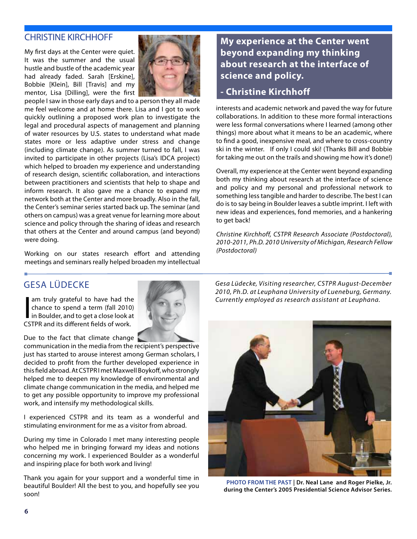### CHRISTINE KIRCHHOFF

My first days at the Center were quiet. It was the summer and the usual hustle and bustle of the academic year had already faded. Sarah [Erskine], Bobbie [Klein], Bill [Travis] and my mentor, Lisa [Dilling], were the first



people Isaw in those early days and to a person they all made me feel welcome and at home there. Lisa and I got to work quickly outlining a proposed work plan to investigate the legal and procedural aspects of management and planning of water resources by U.S. states to understand what made states more or less adaptive under stress and change (including climate change). As summer turned to fall, I was invited to participate in other projects (Lisa's IDCA project) which helped to broaden my experience and understanding of research design, scientific collaboration, and interactions between practitioners and scientists that help to shape and inform research. It also gave me a chance to expand my network both at the Center and more broadly. Also in the fall, the Center's seminar series started back up. The seminar (and others on campus) was a great venue for learning more about science and policy through the sharing of ideas and research that others at the Center and around campus (and beyond) were doing.

Working on our states research effort and attending meetings and seminars really helped broaden my intellectual **My experience at the Center went beyond expanding my thinking about research at the interface of science and policy.** 

### **- Christine Kirchhoff**

interests and academic network and paved the way for future collaborations. In addition to these more formal interactions were less formal conversations where I learned (among other things) more about what it means to be an academic, where to find a good, inexpensive meal, and where to cross-country ski in the winter. If only I could ski! (Thanks Bill and Bobbie for taking me out on the trails and showing me how it's done!)

Overall, my experience at the Center went beyond expanding both my thinking about research at the interface of science and policy and my personal and professional network to something less tangible and harder to describe. The best I can do is to say being in Boulder leaves a subtle imprint. I left with new ideas and experiences, fond memories, and a hankering to get back!

*Christine Kirchhoff, CSTPR Research Associate (Postdoctoral), 2010-2011, Ph.D. 2010 University of Michigan, Research Fellow (Postdoctoral)*

## GESA LÜDECKE

am truly grateful to have had th<br>chance to spend a term (fall 2010<br>in Boulder, and to get a close look a<br>CSTPR and its different fields of work. am truly grateful to have had the chance to spend a term (fall 2010) in Boulder, and to get a close look at

Due to the fact that climate change

communication in the media from the recipient's perspective just has started to arouse interest among German scholars, I decided to profit from the further developed experience in this field abroad. At CSTPR I met Maxwell Boykoff, who strongly helped me to deepen my knowledge of environmental and climate change communication in the media, and helped me to get any possible opportunity to improve my professional work, and intensify my methodological skills.

I experienced CSTPR and its team as a wonderful and stimulating environment for me as a visitor from abroad.

During my time in Colorado I met many interesting people who helped me in bringing forward my ideas and notions concerning my work. I experienced Boulder as a wonderful and inspiring place for both work and living!

Thank you again for your support and a wonderful time in beautiful Boulder! All the best to you, and hopefully see you soon!

*Gesa Lüdecke, Visiting researcher, CSTPR August-December 2010, Ph.D. at Leuphana University of Lueneburg, Germany. Currently employed as research assistant at Leuphana.*



**PHOTO FROM THE PAST | Dr. Neal Lane and Roger Pielke, Jr. during the Center's 2005 Presidential Science Advisor Series.**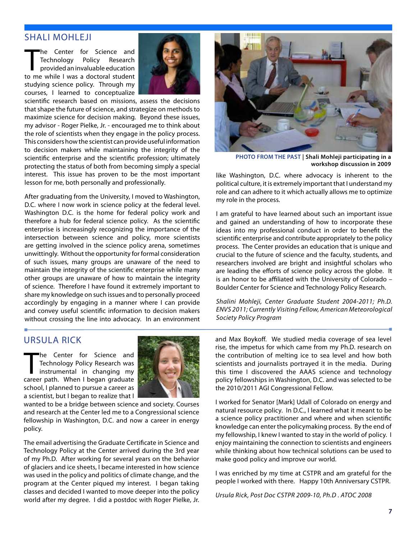### SHALI MOHLEJI

The Center for Science and<br>Technology Policy Research<br>provided an invaluable education<br>to me while I was a doctoral student he Center for Science and Technology Policy Research providedan invaluable education studying science policy. Through my courses, I learned to conceptualize



scientific research based on missions, assess the decisions that shape the future of science, and strategize on methods to maximize science for decision making. Beyond these issues, my advisor - Roger Pielke, Jr. - encouraged me to think about the role of scientists when they engage in the policy process. This considers how the scientist can provide useful information to decision makers while maintaining the integrity of the scientific enterprise and the scientific profession; ultimately protecting the status of both from becoming simply a special interest. This issue has proven to be the most important lesson for me, both personally and professionally.

After graduating from the University, I moved to Washington, D.C. where I now work in science policy at the federal level. Washington D.C. is the home for federal policy work and therefore a hub for federal science policy. As the scientific enterprise is increasingly recognizing the importance of the intersection between science and policy, more scientists are getting involved in the science policy arena, sometimes unwittingly. Without the opportunity for formal consideration of such issues, many groups are unaware of the need to maintain the integrity of the scientific enterprise while many other groups are unaware of how to maintain the integrity of science. Therefore I have found it extremely important to share my knowledge on such issues and to personally proceed accordingly by engaging in a manner where I can provide and convey useful scientific information to decision makers without crossing the line into advocacy. In an environment

### URSULA RICK

The Center for Science and<br>Technology Policy Research was<br>instrumental in changing my<br>career path. When I began graduate he Center for Science and Technology Policy Research was instrumental in changing my school, I planned to pursue a career as a scientist, but I began to realize that I



wanted to be a bridge between science and society. Courses and research at the Center led me to a Congressional science fellowship in Washington, D.C. and now a career in energy policy.

The email advertising the Graduate Certificate in Science and Technology Policy at the Center arrived during the 3rd year of my Ph.D. After working for several years on the behavior of glaciers and ice sheets, I became interested in how science was used in the policy and politics of climate change, and the program at the Center piqued my interest. I began taking classes and decided I wanted to move deeper into the policy world after my degree. I did a postdoc with Roger Pielke, Jr.



**PHOTO FROM THE PAST | Shali Mohleji participating in a workshop discussion in 2009**

like Washington, D.C. where advocacy is inherent to the political culture, it is extremely important that I understand my role and can adhere to it which actually allows me to optimize my role in the process.

I am grateful to have learned about such an important issue and gained an understanding of how to incorporate these ideas into my professional conduct in order to benefit the scientific enterprise and contribute appropriately to the policy process. The Center provides an education that is unique and crucial to the future of science and the faculty, students, and researchers involved are bright and insightful scholars who are leading the efforts of science policy across the globe. It is an honor to be affiliated with the University of Colorado – Boulder Center for Science and Technology Policy Research.

*Shalini Mohleji, Center Graduate Student 2004-2011; Ph.D. ENVS 2011; Currently Visiting Fellow, American Meteorological Society Policy Program*

and Max Boykoff. We studied media coverage of sea level rise, the impetus for which came from my Ph.D. research on the contribution of melting ice to sea level and how both scientists and journalists portrayed it in the media. During this time I discovered the AAAS science and technology policy fellowships in Washington, D.C. and was selected to be the 2010/2011 AGI Congressional Fellow.

I worked for Senator [Mark] Udall of Colorado on energy and natural resource policy. In D.C., I learned what it meant to be a science policy practitioner and where and when scientific knowledge can enter the policymaking process. By the end of my fellowship, I knew I wanted to stay in the world of policy. I enjoy maintaining the connection to scientists and engineers while thinking about how technical solutions can be used to make good policy and improve our world.

I was enriched by my time at CSTPR and am grateful for the people I worked with there. Happy 10th Anniversary CSTPR.

*Ursula Rick, Post Doc CSTPR 2009-10, Ph.D . ATOC 2008*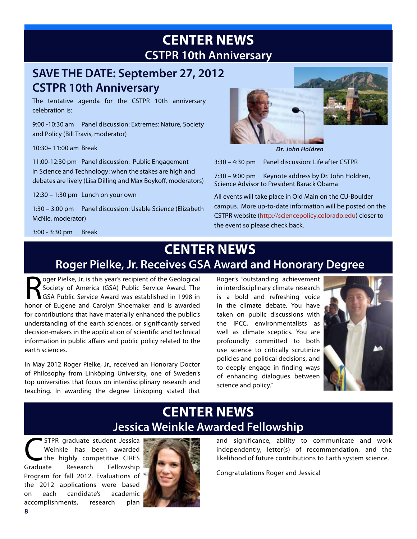## **CENTER NEWS CSTPR 10th Anniversary**

## **SAVE THE DATE: September 27, 2012 CSTPR 10th Anniversary**

The tentative agenda for the CSTPR 10th anniversary celebration is:

9:00 -10:30 am Panel discussion: Extremes: Nature, Society and Policy (Bill Travis, moderator)

10:30– 11:00 am Break

11:00-12:30 pm Panel discussion: Public Engagement in Science and Technology: when the stakes are high and debates are lively (Lisa Dilling and Max Boykoff, moderators)

 $12:30 - 1:30$  pm Lunch on your own

1:30 – 3:00 pm Panel discussion: Usable Science (Elizabeth McNie, moderator)



*Dr. John Holdren*

3:30 – 4:30 pm Panel discussion: Life after CSTPR

7:30 – 9:00 pm Keynote address by Dr. John Holdren, Science Advisor to President Barack Obama

All events will take place in Old Main on the CU-Boulder campus. More up-to-date information will be posted on the CSTPR website (http://sciencepolicy.colorado.edu) closer to the event so please check back.

3:00 - 3:30 pm Break

## **CENTER NEWS Roger Pielke, Jr. Receives GSA Award and Honorary Degree**

Society of America (GSA) Public Service Award. The GSA Public Service Award The GSA Public Service Award was established in 1998 in Society of America (GSA) Public Service Award. The GSA Public Service Award was established in 1998 in honor of Eugene and Carolyn Shoemaker and is awarded for contributions that have materially enhanced the public's understanding of the earth sciences, or significantly served decision-makers in the application of scientific and technical information in public affairs and public policy related to the earth sciences.

In May 2012 Roger Pielke, Jr., received an Honorary Doctor of Philosophy from Linköping University, one of Sweden's top universities that focus on interdisciplinary research and teaching. In awarding the degree Linkoping stated that Roger's "outstanding achievement in interdisciplinary climate research is a bold and refreshing voice in the climate debate. You have taken on public discussions with the IPCC, environmentalists as well as climate sceptics. You are profoundly committed to both use science to critically scrutinize policies and political decisions, and to deeply engage in finding ways of enhancing dialogues between science and policy."



## **CENTER NEWS Jessica Weinkle Awarded Fellowship**

STPR graduate student Jessica<br>Weinkle has been awarded<br>the highly competitive CIRES Weinkle has been awarded the highly competitive CIRES Graduate Research Fellowship Program for fall 2012. Evaluations of the 2012 applications were based on each candidate's academic accomplishments, research plan



and significance, ability to communicate and work independently, letter(s) of recommendation, and the likelihood of future contributions to Earth system science.

Congratulations Roger and Jessica!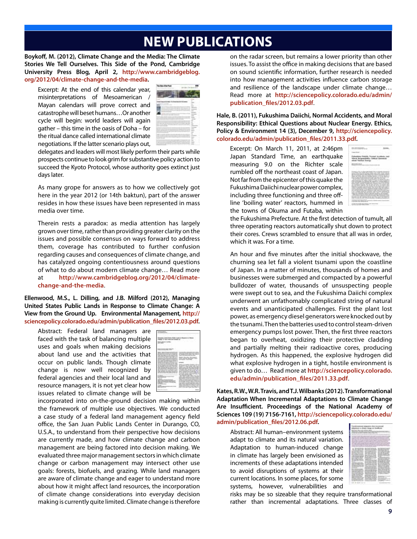## **NEW PUBLICATIONS**

**Boykoff, M. (2012), Climate Change and the Media: The Climate Stories We Tell Ourselves. This Side of the Pond, Cambridge University Press Blog, April 2, http://www.cambridgeblog. org/2012/04/climate-change-and-the-media.**

Excerpt: At the end of this calendar year, misinterpretations of Mesoamerican / Mayan calendars will prove correct and catastrophe will beset humans...Or another cycle will begin: world leaders will again gather – this time in the oasis of Doha – for the ritual dance called international climate negotiations. If the latter scenario plays out,



delegates and leaders will most likely perform their parts while prospects continue to look grim forsubstantive policy action to succeed the Kyoto Protocol, whose authority goes extinct just days later.

As many grope for answers as to how we collectively got here in the year 2012 (or 14th baktun), part of the answer resides in how these issues have been represented in mass media over time.

Therein rests a paradox: as media attention has largely grown over time, rather than providing greater clarity on the issues and possible consensus on ways forward to address them, coverage has contributed to further confusion regarding causes and consequences of climate change, and has catalyzed ongoing contentiousness around questions of what to do about modern climate change… Read more at **http://www.cambridgeblog.org/2012/04/climatechange-and-the-media**.

**Ellenwood, M.S., L. Dilling, and J.B. Milford (2012), Managing United States Public Lands in Response to Climate Change: A View from the Ground Up. Environmental Management, http:// sciencepolicy.colorado.edu/admin/publication\_files/2012.03.pdf.**

Abstract: Federal land managers are faced with the task of balancing multiple uses and goals when making decisions about land use and the activities that occur on public lands. Though climate change is now well recognized by federal agencies and their local land and resource managers, it is not yet clear how issues related to climate change will be



incorporated into on-the-ground decision making within the framework of multiple use objectives. We conducted a case study of a federal land management agency field office, the San Juan Public Lands Center in Durango, CO, U.S.A., to understand from their perspective how decisions are currently made, and how climate change and carbon management are being factored into decision making. We evaluated three major management sectors in which climate change or carbon management may intersect other use goals: forests, biofuels, and grazing. While land managers are aware of climate change and eager to understand more about how it might affect land resources, the incorporation of climate change considerations into everyday decision making is currently quite limited. Climate change istherefore

on the radar screen, but remains a lower priority than other issues. To assist the office in making decisions that are based on sound scientific information, further research is needed into how management activities influence carbon storage and resilience of the landscape under climate change… Read more at **http://sciencepolicy.colorado.edu/admin/ publication\_files/2012.03.pdf**.

**Hale, B. (2011), Fukushima Daiichi, Normal Accidents, and Moral Responsibility: Ethical Questions about Nuclear Energy. Ethics, Policy & Environment 14 (3), December 9, http://sciencepolicy. colorado.edu/admin/publication\_files/2011.33.pdf.**

Excerpt: On March 11, 2011, at 2:46pm Japan Standard Time, an earthquake measuring 9.0 on the Richter scale rumbled off the northeast coast of Japan. Not far from the epicenter of this quake the Fukushima Daiichi nuclear power complex, including three functioning and three offline 'boiling water' reactors, hummed in the towns of Okuma and Futaba, within



the Fukushima Prefecture. At the first detection of tumult, all three operating reactors automatically shut down to protect their cores. Crews scrambled to ensure that all was in order, which it was. For a time.

An hour and five minutes after the initial shockwave, the churning sea let fall a violent tsunami upon the coastline of Japan. In a matter of minutes, thousands of homes and businesses were submerged and compacted by a powerful bulldozer of water, thousands of unsuspecting people were swept out to sea, and the Fukushima Daiichi complex underwent an unfathomably complicated string of natural events and unanticipated challenges. First the plant lost power, as emergency diesel generators were knocked out by the tsunami. Then the batteries used to control steam-driven emergency pumps lost power. Then, the first three reactors began to overheat, oxidizing their protective cladding and partially melting their radioactive cores, producing hydrogen. As this happened, the explosive hydrogen did what explosive hydrogen in a tight, hostile environment is given to do… Read more at **http://sciencepolicy.colorado. edu/admin/publication\_files/2011.33.pdf**.

**Kates, R.W., W.R. Travis, and T.J. Wilbanks (2012). Transformational Adaptation When Incremental Adaptations to Climate Change Are Insufficient. Proceedings of the National Academy of Sciences 109 (19) 7156-7161, http://sciencepolicy.colorado.edu/ admin/publication\_files/2012.06.pdf.**

Abstract: All human–environment systems adapt to climate and its natural variation. Adaptation to human-induced change in climate has largely been envisioned as increments of these adaptations intended to avoid disruptions of systems at their current locations. In some places, for some systems, however, vulnerabilities and



risks may be so sizeable that they require transformational rather than incremental adaptations. Three classes of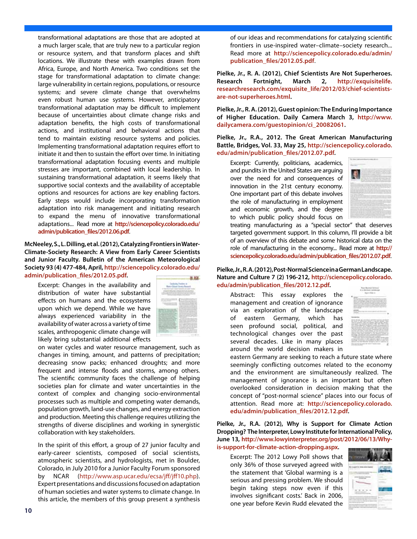transformational adaptations are those that are adopted at a much larger scale, that are truly new to a particular region or resource system, and that transform places and shift locations. We illustrate these with examples drawn from Africa, Europe, and North America. Two conditions set the stage for transformational adaptation to climate change: large vulnerability in certain regions, populations, or resource systems; and severe climate change that overwhelms even robust human use systems. However, anticipatory transformational adaptation may be difficult to implement because of uncertainties about climate change risks and adaptation benefits, the high costs of transformational actions, and institutional and behavioral actions that tend to maintain existing resource systems and policies. Implementing transformational adaptation requires effort to initiate it and then to sustain the effort over time. In initiating transformational adaptation focusing events and multiple stresses are important, combined with local leadership. In sustaining transformational adaptation, it seems likely that supportive social contexts and the availability of acceptable options and resources for actions are key enabling factors. Early steps would include incorporating transformation adaptation into risk management and initiating research to expand the menu of innovative transformational adaptations... Read more at **http://sciencepolicy.colorado.edu/ admin/publication\_files/2012.06.pdf**.

**McNeeley, S., L. Dilling, et al. (2012), Catalyzing Frontiers in Water-Climate-Society Research: A View from Early Career Scientists and Junior Faculty. Bulletin of the American Meteorological Society 93 (4) 477-484, April, http://sciencepolicy.colorado.edu/ admin/publication\_files/2012.05.pdf.** IN BOX

Excerpt: Changes in the availability and distribution of water have substantial effects on humans and the ecosystems upon which we depend. While we have always experienced variability in the availability of water across a variety of time scales, anthropogenic climate change will likely bring substantial additional effects



on water cycles and water resource management, such as changes in timing, amount, and patterns of precipitation; decreasing snow packs; enhanced droughts; and more frequent and intense floods and storms, among others. The scientific community faces the challenge of helping societies plan for climate and water uncertainties in the context of complex and changing socio-environmental processes such as multiple and competing water demands, population growth, land-use changes, and energy extraction and production. Meeting this challenge requires utilizing the strengths of diverse disciplines and working in synergistic collaboration with key stakeholders.

In the spirit of this effort, a group of 27 junior faculty and early-career scientists, composed of social scientists, atmospheric scientists, and hydrologists, met in Boulder, Colorado, in July 2010 for a Junior Faculty Forum sponsored by NCAR (http://www.asp.ucar.edu/ecsa/jff/jff10.php). Expert presentations and discussionsfocused on adaptation of human societies and water systems to climate change. In this article, the members of this group present a synthesis

of our ideas and recommendations for catalyzing scientific frontiers in use-inspired water–climate–society research... Read more at **http://sciencepolicy.colorado.edu/admin/ publication\_files/2012.05.pdf**.

**Pielke, Jr., R. A. (2012), Chief Scientists Are Not Superheroes. Research Fortnight, March 2, http://exquisitelife. researchresearch.com/exquisite\_life/2012/03/chief-scientistsare-not-superheroes.html.**

**Pielke, Jr., R. A. (2012), Guest opinion: The Enduring Importance of Higher Education. Daily Camera March 3, http://www. dailycamera.com/guestopinion/ci\_20082061.**

**Pielke, Jr., R.A., 2012. The Great American Manufacturing Battle, Bridges, Vol. 33, May 25, http://sciencepolicy.colorado. edu/admin/publication\_files/2012.07.pdf.**

Excerpt: Currently, politicians, academics, and pundits in the United States are arguing over the need for and consequences of innovation in the 21st century economy. One important part of this debate involves the role of manufacturing in employment and economic growth, and the degree to which public policy should focus on

|                        |        |     | <b>PORTA</b> |  |
|------------------------|--------|-----|--------------|--|
|                        |        | ___ |              |  |
|                        | angnan |     |              |  |
| 15.03<br><b>TENNIS</b> |        |     |              |  |
|                        |        |     |              |  |
|                        | Ħ      |     |              |  |

treating manufacturing as a "special sector" that deserves targeted government support. In this column, I'll provide a bit of an overview of this debate and some historical data on the role of manufacturing in the economy... Read more at **http:// sciencepolicy.colorado.edu/admin/publication\_files/2012.07.pdf**.

#### **Pielke, Jr., R. A. (2012), Post-Normal Science in a German Landscape. Nature and Culture 7 (2) 196-212, http://sciencepolicy.colorado. edu/admin/publication\_files/2012.12.pdf.**

Abstract: This essay explores the management and creation of ignorance via an exploration of the landscape of eastern Germany, which has seen profound social, political, and technological changes over the past several decades. Like in many places around the world decision makers in

| .<br>$\mathcal{C}^{\mathcal{A}}$                | a is those on<br>Ŧ                             |   |
|-------------------------------------------------|------------------------------------------------|---|
| -                                               | $\cdots$                                       |   |
| ٠                                               | ۰<br>÷                                         |   |
| ۰                                               | <b>THE CONTRACT COMMUNITY OF REAL PROPERTY</b> | . |
| ٠<br><b>ALCOHOL:</b><br>Consul of National<br>i | ---<br>1.50                                    |   |
|                                                 | -                                              |   |
|                                                 | <b>And State Co.</b>                           |   |
|                                                 | To all the control<br>Married Car<br>٠         |   |

eastern Germany are seeking to reach a future state where seemingly conflicting outcomes related to the economy and the environment are simultaneously realized. The management of ignorance is an important but often overlooked consideration in decision making that the concept of "post-normal science" places into our focus of attention. Read more at: **http://sciencepolicy.colorado. edu/admin/publication\_files/2012.12.pdf.**

**Pielke, Jr., R.A. (2012), Why is Support for Climate Action Dropping? The Interpreter, Lowy Institute for International Policy, June 13, http://www.lowyinterpreter.org/post/2012/06/13/Whyis-support-for-climate-action-dropping.aspx.**

Excerpt: The 2012 Lowy Poll shows that only 36% of those surveyed agreed with the statement that 'Global warming is a serious and pressing problem. We should begin taking steps now even if this involves significant costs.' Back in 2006, one year before Kevin Rudd elevated the

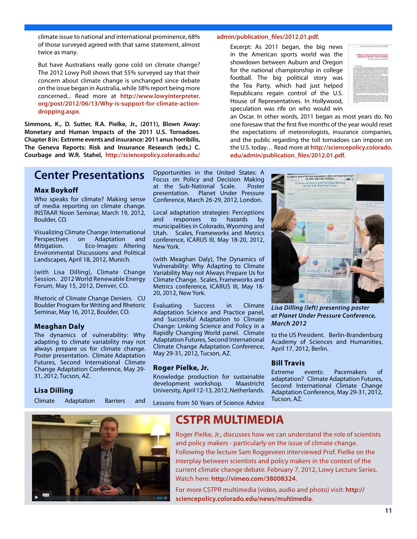climate issue to national and international prominence, 68% of those surveyed agreed with that same statement, almost twice as many.

But have Australians really gone cold on climate change? The 2012 Lowy Poll shows that 55% surveyed say that their concern about climate change is unchanged since debate on the issue began in Australia, while 38% report being more concerned... Read more at **http://www.lowyinterpreter. org/post/2012/06/13/Why-is-support-for-climate-actiondropping.aspx**.

**Simmons, K., D. Sutter, R.A. Pielke, Jr., (2011), Blown Away: Monetary and Human Impacts of the 2011 U.S. Tornadoes. Chapter 8 in: Extreme events and insurance: 2011 anus horribilis, The Geneva Reports: Risk and Insurance Research (eds.) C. Courbage and W.R. Stahel, http://sciencepolicy.colorado.edu/**

## **Center Presentations**

### **Max Boykoff**

Who speaks for climate? Making sense of media reporting on climate change. INSTAAR Noon Seminar, March 19, 2012, Boulder, CO.

Visualizing Climate Change: International<br>Perspectives on Adaptation and Perspectives on Adaptation and<br>Mitigation. Eco-Images: Altering Eco-Images: Altering Environmental Discussions and Political Landscapes, April 18, 2012, Munich.

(with Lisa Dilling), Climate Change Session. 2012 World Renewable Energy Forum, May 15, 2012, Denver, CO.

Rhetoric of Climate Change Deniers. CU Boulder Program for Writing and Rhetoric Seminar, May 16, 2012, Boulder, CO.

#### **Meaghan Daly**

The dynamics of vulnerability: Why adapting to climate variability may not always prepare us for climate change. Poster presentation. Climate Adaptation Futures, Second International Climate Change Adaptation Conference, May 29- 31, 2012, Tucson, AZ.

#### **Lisa Dilling**

Climate Adaptation Barriers and

Opportunities in the United States: A Focus on Policy and Decision Making at the Sub-National Scale. Poster presentation. Planet Under Pressure Conference, March 26-29, 2012, London.

Local adaptation strategies: Perceptions and responses to hazards by municipalities in Colorado, Wyoming and Utah. Scales, Frameworks and Metrics conference, ICARUS III, May 18-20, 2012, New York.

(with Meaghan Daly), The Dynamics of Vulnerability: Why Adapting to Climate Variability May not Always Prepare Us for Climate Change. Scales, Frameworks and Metrics conference, ICARUS III, May 18- 20, 2012, New York.

Evaluating Success in Climate Adaptation Science and Practice panel, and Successful Adaptation to Climate Change: Linking Science and Policy in a Rapidly Changing World panel. Climate Adaptation Futures, Second International Climate Change Adaptation Conference, May 29-31, 2012, Tucson, AZ.

#### **Roger Pielke, Jr.**

Knowledge production for sustainable development workshop. Maastricht University, April 12-13, 2012, Netherlands.

Lessons from 50 Years of Science Advice

#### **admin/publication\_files/2012.01.pdf.**

Excerpt: As 2011 began, the big news in the American sports world was the showdown between Auburn and Oregon for the national championship in college football. The big political story was the Tea Party, which had just helped Republicans regain control of the U.S. House of Representatives. In Hollywood, speculation was rife on who would win



an Oscar. In other words, 2011 began as most years do. No one foresaw that the first five months of the year would reset the expectations of meteorologists, insurance companies, and the public regarding the toll tornadoes can impose on the U.S. today… Read more at **http://sciencepolicy.colorado. edu/admin/publication\_files/2012.01.pdf**.



*Lisa Dilling (left) presenting poster at Planet Under Pressure Conference, March 2012*

to the US President. Berlin-Brandenburg Academy of Sciences and Humanities, April 17, 2012, Berlin.

#### **Bill Travis**

Extreme events: Pacemakers of adaptation? Climate Adaptation Futures, Second International Climate Change Adaptation Conference, May 29-31, 2012, Tucson, AZ.



## **CSTPR MULTIMEDIA**

Roger Pielke, Jr., discusses how we can understand the role of scientists and policy makers - particularly on the issue of climate change. Following the lecture Sam Roggeveen interviewed Prof. Pielke on the interplay between scientists and policy makers in the context of the current climate change debate. February 7, 2012, Lowy Lecture Series. Watch here: **http://vimeo.com/38008324**.

For more CSTPR multimedia (video, audio and photo) visit: **http:// sciencepolicy.colorado.edu/news/multimedia**.